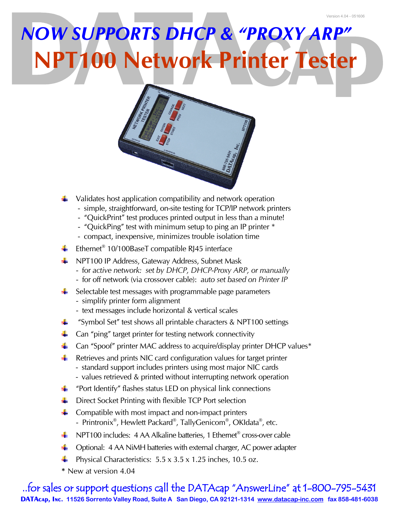## *NOW SUPPORTS DHCP & "PROXY ARP"* **NPT100 Network Printer Tester**



- Validates host application compatibility and network operation
	- simple, straightforward, on-site testing for TCP/IP network printers
	- "QuickPrint" test produces printed output in less than a minute!
	- "QuickPing" test with minimum setup to ping an IP printer \*
	- compact, inexpensive, minimizes trouble isolation time
- Ethernet<sup>®</sup> 10/100BaseT compatible RJ45 interface
- **+ NPT100 IP Address, Gateway Address, Subnet Mask** 
	- for *active network: set by DHCP, DHCP-Proxy ARP, or manually*
	- for off network (via crossover cable): *auto set based on Printer IP*
- $\frac{1}{2}$  Selectable test messages with programmable page parameters
	- simplify printer form alignment
	- text messages include horizontal & vertical scales
- a ka "Symbol Set" test shows all printable characters & NPT100 settings
- $\ddot{\bullet}$  Can "ping" target printer for testing network connectivity
- $\pm$  Can "Spoof" printer MAC address to acquire/display printer DHCP values\*
- $\blacksquare$  Retrieves and prints NIC card configuration values for target printer
	- standard support includes printers using most major NIC cards
	- values retrieved & printed without interrupting network operation
- $\ddagger$  "Port Identify" flashes status LED on physical link connections
- $\Box$  Direct Socket Printing with flexible TCP Port selection
- Compatible with most impact and non-impact printers - Printronix<sup>®</sup>, Hewlett Packard<sup>®</sup>, TallyGenicom®, OKIdata®, etc.
- NPT100 includes: 4 AA Alkaline batteries, 1 Ethernet<sup>®</sup> cross-over cable
- Optional: 4 AA NiMH batteries with external charger, AC power adapter
- Physical Characteristics: 5.5 x 3.5 x 1.25 inches, 10.5 oz.
- **\*** New at version 4.04

**..for sales or support questions call the DATAcap "AnswerLine" at 1-800-795-5431 DATAcap, Inc. 11526 Sorrento Valley Road, Suite A San Diego, CA 92121-1314 [www.datacap-inc.com](http://www.datacap-inc.com) fax 858-481-6038**